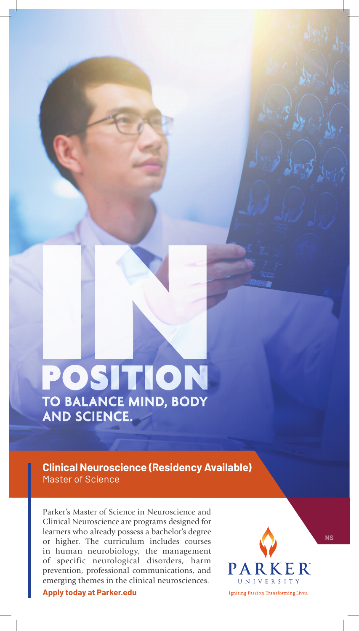# POSITION TO BALANCE MIND, BODY AND SCIENCE. POSITION

**Clinical Neuroscience (Residency Available)** Master of Science

Parker's Master of Science in Neuroscience and Clinical Neuroscience are programs designed for learners who already possess a bachelor's degree or higher. The curriculum includes courses in human neurobiology, the management of specific neurological disorders, harm prevention, professional communications, and emerging themes in the clinical neurosciences.

**Apply today at Parker.edu**



**NS**